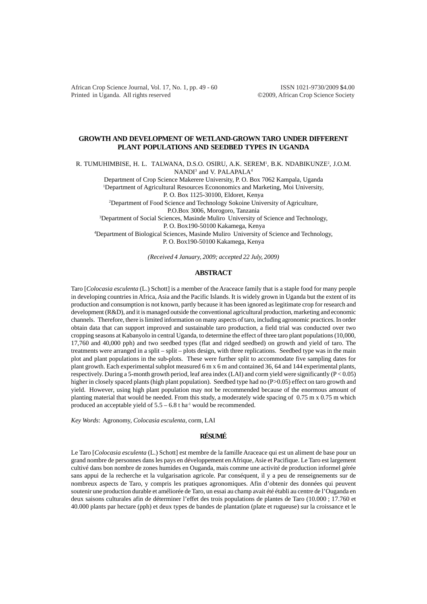African Crop Science Journal, Vol. 17, No. 1, pp. 49 - 60 ISSN 1021-9730/2009 \$4.00 Printed in Uganda. All rights reserved ©2009, African Crop Science Society

# **GROWTH AND DEVELOPMENT OF WETLAND-GROWN TARO UNDER DIFFERENT PLANT POPULATIONS AND SEEDBED TYPES IN UGANDA**

R. TUMUHIMBISE, H. L. TALWANA, D.S.O. OSIRU, A.K. SEREM<sup>1</sup>, B.K. NDABIKUNZE<sup>2</sup>, J.O.M.

NANDI<sup>3</sup> and V. PALAPALA<sup>4</sup>

Department of Crop Science Makerere University, P. O. Box 7062 Kampala, Uganda

<sup>1</sup>Department of Agricultural Resources Econonomics and Marketing, Moi University,

P. O. Box 1125-30100, Eldoret, Kenya

2 Department of Food Science and Technology Sokoine University of Agriculture,

P.O.Box 3006, Morogoro, Tanzania

<sup>3</sup>Department of Social Sciences, Masinde Muliro University of Science and Technology, P. O. Box190-50100 Kakamega, Kenya

4 Department of Biological Sciences, Masinde Muliro University of Science and Technology, P. O. Box190-50100 Kakamega, Kenya

*(Received 4 January, 2009; accepted 22 July, 2009)*

# **ABSTRACT**

Taro [*Colocasia esculenta* (L.) Schott] is a member of the Araceace family that is a staple food for many people in developing countries in Africa, Asia and the Pacific Islands. It is widely grown in Uganda but the extent of its production and consumption is not known, partly because it has been ignored as legitimate crop for research and development (R&D), and it is managed outside the conventional agricultural production, marketing and economic channels. Therefore, there is limited information on many aspects of taro, including agronomic practices. In order obtain data that can support improved and sustainable taro production, a field trial was conducted over two cropping seasons at Kabanyolo in central Uganda, to determine the effect of three taro plant populations (10,000, 17,760 and 40,000 pph) and two seedbed types (flat and ridged seedbed) on growth and yield of taro. The treatments were arranged in a split – split – plots design, with three replications. Seedbed type was in the main plot and plant populations in the sub-plots. These were further split to accommodate five sampling dates for plant growth. Each experimental subplot measured 6 m x 6 m and contained 36, 64 and 144 experimental plants, respectively. During a 5-month growth period, leaf area index (LAI) and corm yield were significantly  $(P < 0.05)$ higher in closely spaced plants (high plant population). Seedbed type had no (P>0.05) effect on taro growth and yield. However, using high plant population may not be recommended because of the enormous amount of planting material that would be needed. From this study, a moderately wide spacing of 0.75 m x 0.75 m which produced an acceptable yield of  $5.5 - 6.8$  t ha<sup>-1</sup> would be recommended.

*Key Words*: Agronomy, *Colocasia esculenta*, corm, LAI

# **RÉSUMÉ**

Le Taro [*Colocasia esculenta* (L.) Schott] est membre de la famille Araceace qui est un aliment de base pour un grand nombre de personnes dans les pays en développement en Afrique, Asie et Pacifique. Le Taro est largement cultivé dans bon nombre de zones humides en Ouganda, mais comme une activité de production informel gérée sans appui de la recherche et la vulgarisation agricole. Par conséquent, il y a peu de renseignements sur de nombreux aspects de Taro, y compris les pratiques agronomiques. Afin d'obtenir des données qui peuvent soutenir une production durable et améliorée de Taro, un essai au champ avait été établi au centre de l'Ouganda en deux saisons culturales afin de déterminer l'effet des trois populations de plantes de Taro (10.000 ; 17.760 et 40.000 plants par hectare (pph) et deux types de bandes de plantation (plate et rugueuse) sur la croissance et le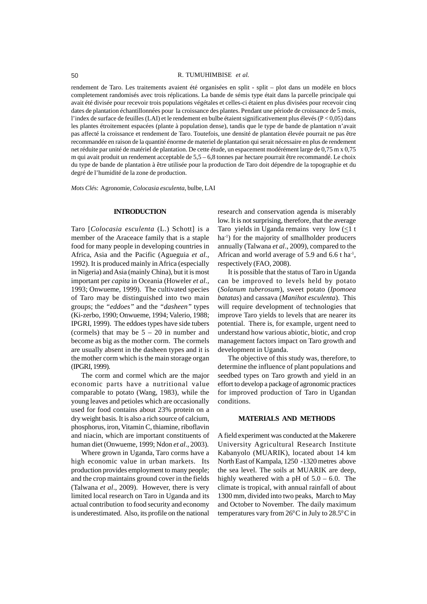rendement de Taro. Les traitements avaient été organisées en split - split – plot dans un modèle en blocs completement randomisés avec trois réplications. La bande de sémis type était dans la parcelle principale qui avait été divisée pour recevoir trois populations végétales et celles-ci étaient en plus divisées pour recevoir cinq dates de plantation échantillonnées pour la croissance des plantes. Pendant une période de croissance de 5 mois, l'index de surface de feuilles (LAI) et le rendement en bulbe étaient significativement plus élevés (P < 0,05) dans les plantes étroitement espacées (plante à population dense), tandis que le type de bande de plantation n'avait pas affecté la croissance et rendement de Taro. Toutefois, une densité de plantation élevée pourrait ne pas être recommandée en raison de la quantité énorme de materiel de plantation qui serait nécessaire en plus de rendement net réduite par unité de matériel de plantation. De cette étude, un espacement modérément large de 0,75 m x 0,75 m qui avait produit un rendement acceptable de  $5.5 - 6.8$  tonnes par hectare pourrait être recommandé. Le choix du type de bande de plantation à être utilisée pour la production de Taro doit dépendre de la topographie et du degré de l'humidité de la zone de production.

*Mots Clé*s: Agronomie, *Colocasia esculenta*, bulbe, LAI

#### **INTRODUCTION**

Taro [*Colocasia esculenta* (L.) Schott] is a member of the Araceace family that is a staple food for many people in developing countries in Africa, Asia and the Pacific (Agueguia *et al.*, 1992). It is produced mainly in Africa (especially in Nigeria) and Asia (mainly China), but it is most important per *capita* in Oceania (Howeler *et al.*, 1993; Onwueme, 1999). The cultivated species of Taro may be distinguished into two main groups; the *"eddoes"* and the *"dasheen"* types (Ki-zerbo, 1990; Onwueme, 1994; Valerio, 1988; IPGRI, 1999). The eddoes types have side tubers (cormels) that may be  $5 - 20$  in number and become as big as the mother corm. The cormels are usually absent in the dasheen types and it is the mother corm which is the main storage organ (IPGRI, 1999).

The corm and cormel which are the major economic parts have a nutritional value comparable to potato (Wang, 1983), while the young leaves and petioles which are occasionally used for food contains about 23% protein on a dry weight basis. It is also a rich source of calcium, phosphorus, iron, Vitamin C, thiamine, riboflavin and niacin, which are important constituents of human diet (Onwueme, 1999; Ndon *et al*., 2003).

Where grown in Uganda, Taro corms have a high economic value in urban markets. Its production provides employment to many people; and the crop maintains ground cover in the fields (Talwana *et al*., 2009). However, there is very limited local research on Taro in Uganda and its actual contribution to food security and economy is underestimated. Also, its profile on the national

research and conservation agenda is miserably low. It is not surprising, therefore, that the average Taro yields in Uganda remains very low  $\leq 1$  t ha<sup>-1</sup>) for the majority of smallholder producers annually (Talwana *et al*., 2009), compared to the African and world average of 5.9 and 6.6 t ha<sup>1</sup>, respectively (FAO, 2008).

It is possible that the status of Taro in Uganda can be improved to levels held by potato (*Solanum tuberosum*), sweet potato (*Ipomoea batatas*) and cassava (*Manihot esculenta*). This will require development of technologies that improve Taro yields to levels that are nearer its potential. There is, for example, urgent need to understand how various abiotic, biotic, and crop management factors impact on Taro growth and development in Uganda.

The objective of this study was, therefore, to determine the influence of plant populations and seedbed types on Taro growth and yield in an effort to develop a package of agronomic practices for improved production of Taro in Ugandan conditions.

#### **MATERIALS AND METHODS**

A field experiment was conducted at the Makerere University Agricultural Research Institute Kabanyolo (MUARIK), located about 14 km North East of Kampala, 1250 -1320 metres above the sea level. The soils at MUARIK are deep, highly weathered with a pH of  $5.0 - 6.0$ . The climate is tropical, with annual rainfall of about 1300 mm, divided into two peaks, March to May and October to November. The daily maximum temperatures vary from  $26^{\circ}$ C in July to  $28.5^{\circ}$ C in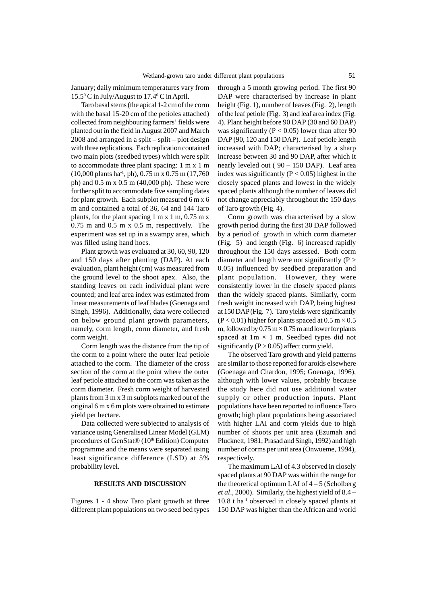January; daily minimum temperatures vary from 15.50 C in July/August to 17.40 C in April.

Taro basal stems (the apical 1-2 cm of the corm with the basal 15-20 cm of the petioles attached) collected from neighbouring farmers' fields were planted out in the field in August 2007 and March 2008 and arranged in a split – split – plot design with three replications. Each replication contained two main plots (seedbed types) which were split to accommodate three plant spacing: 1 m x 1 m  $(10,000 \text{ plants ha}^{-1}, \text{ph})$ , 0.75 m x 0.75 m  $(17,760 \text{ miles ha}^{-1}, \text{ph})$ ph) and 0.5 m x 0.5 m (40,000 ph). These were further split to accommodate five sampling dates for plant growth. Each subplot measured 6 m x 6 m and contained a total of 36, 64 and 144 Taro plants, for the plant spacing  $1 \text{ m} \times 1 \text{ m}$ , 0.75 m x 0.75 m and 0.5 m x 0.5 m, respectively. The experiment was set up in a swampy area, which was filled using hand hoes.

Plant growth was evaluated at 30, 60, 90, 120 and 150 days after planting (DAP). At each evaluation, plant height (cm) was measured from the ground level to the shoot apex. Also, the standing leaves on each individual plant were counted; and leaf area index was estimated from linear measurements of leaf blades (Goenaga and Singh, 1996). Additionally, data were collected on below ground plant growth parameters, namely, corm length, corm diameter, and fresh corm weight.

Corm length was the distance from the tip of the corm to a point where the outer leaf petiole attached to the corm. The diameter of the cross section of the corm at the point where the outer leaf petiole attached to the corm was taken as the corm diameter. Fresh corm weight of harvested plants from 3 m x 3 m subplots marked out of the original 6 m x 6 m plots were obtained to estimate yield per hectare.

Data collected were subjected to analysis of variance using Generalised Linear Model (GLM) procedures of GenStat® (10<sup>th</sup> Edition) Computer programme and the means were separated using least significance difference (LSD) at 5% probability level.

### **RESULTS AND DISCUSSION**

Figures 1 - 4 show Taro plant growth at three different plant populations on two seed bed types

through a 5 month growing period. The first 90 DAP were characterised by increase in plant height (Fig. 1), number of leaves (Fig. 2), length of the leaf petiole (Fig. 3) and leaf area index (Fig. 4). Plant height before 90 DAP (30 and 60 DAP) was significantly ( $P < 0.05$ ) lower than after 90 DAP (90, 120 and 150 DAP). Leaf petiole length increased with DAP; characterised by a sharp increase between 30 and 90 DAP, after which it nearly leveled out ( 90 – 150 DAP). Leaf area index was significantly ( $P < 0.05$ ) highest in the closely spaced plants and lowest in the widely spaced plants although the number of leaves did not change appreciably throughout the 150 days of Taro growth (Fig. 4).

Corm growth was characterised by a slow growth period during the first 30 DAP followed by a period of growth in which corm diameter (Fig. 5) and length (Fig. 6) increased rapidly throughout the 150 days assessed. Both corm diameter and length were not significantly  $(P >$ 0.05) influenced by seedbed preparation and plant population. However, they were consistently lower in the closely spaced plants than the widely spaced plants. Similarly, corm fresh weight increased with DAP, being highest at 150 DAP (Fig. 7). Taro yields were significantly  $(P < 0.01)$  higher for plants spaced at  $0.5$  m  $\times$  0.5 m, followed by  $0.75 \text{ m} \times 0.75 \text{ m}$  and lower for plants spaced at  $1m \times 1m$ . Seedbed types did not significantly  $(P > 0.05)$  affect corm yield.

The observed Taro growth and yield patterns are similar to those reported for aroids elsewhere (Goenaga and Chardon, 1995; Goenaga, 1996), although with lower values, probably because the study here did not use additional water supply or other production inputs. Plant populations have been reported to influence Taro growth; high plant populations being associated with higher LAI and corm yields due to high number of shoots per unit area (Ezumah and Plucknett, 1981; Prasad and Singh, 1992) and high number of corms per unit area (Onwueme, 1994), respectively.

The maximum LAI of 4.3 observed in closely spaced plants at 90 DAP was within the range for the theoretical optimum LAI of  $4 - 5$  (Scholberg *et al*., 2000). Similarly, the highest yield of 8.4 – 10.8 t ha-1 observed in closely spaced plants at 150 DAP was higher than the African and world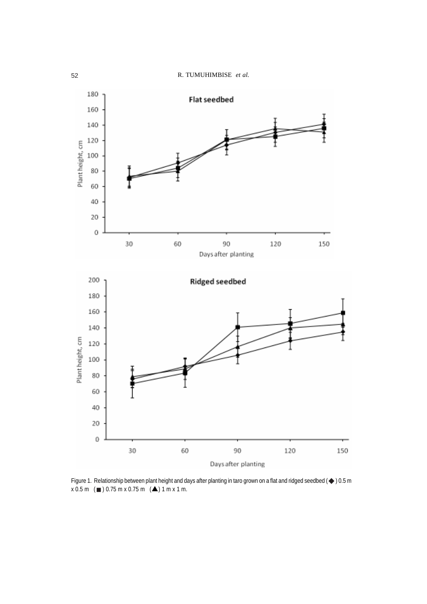

Figure 1. Relationship between plant height and days after planting in taro grown on a flat and ridged seedbed ( $\blacklozenge$  ) 0.5 m  $x 0.5 m$  ( $\blacksquare$ ) 0.75 m x 0.75 m ( $\spadesuit$ ) 1 m x 1 m.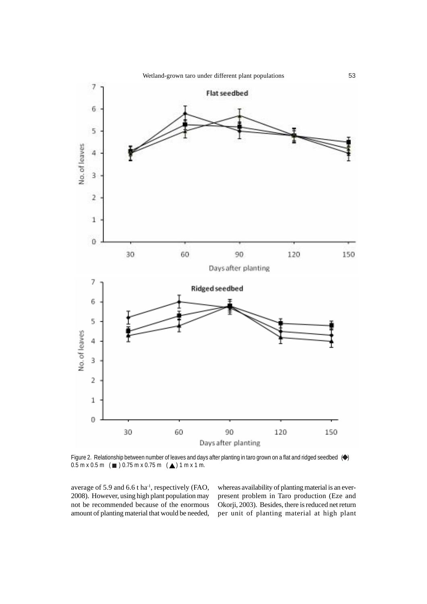

Figure 2. Relationship between number of leaves and days after planting in taro grown on a flat and ridged seedbed  $\,(\blacklozenge\,)$  $0.5$  m x  $0.5$  m  $\text{(} \blacksquare \text{)}$   $0.75$  m x  $0.75$  m  $\text{(} \blacktriangle \text{)}$  1 m x 1 m.

average of 5.9 and 6.6 t ha<sup>-1</sup>, respectively (FAO, 2008). However, using high plant population may not be recommended because of the enormous amount of planting material that would be needed, whereas availability of planting material is an everpresent problem in Taro production (Eze and Okorji, 2003). Besides, there is reduced net return per unit of planting material at high plant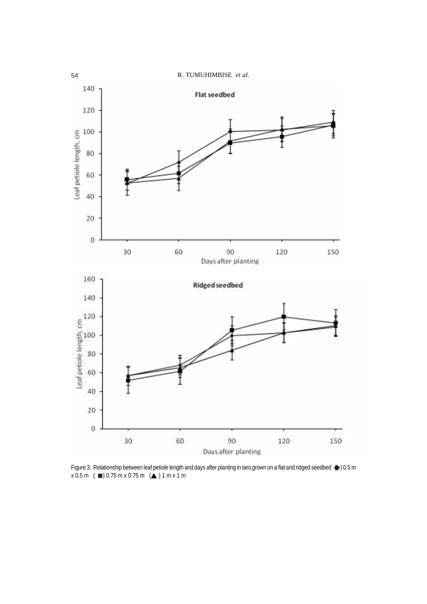

Figure 3. Relationship between leaf petiole length and days after planting in taro grown on a flat and ridged seedbed  $\bigcirc$  0.5 m  $x 0.5 m$  ( $\blacksquare$ ) 0.75 m  $x 0.75 m$  ( $\blacktriangle$  ) 1 m x 1 m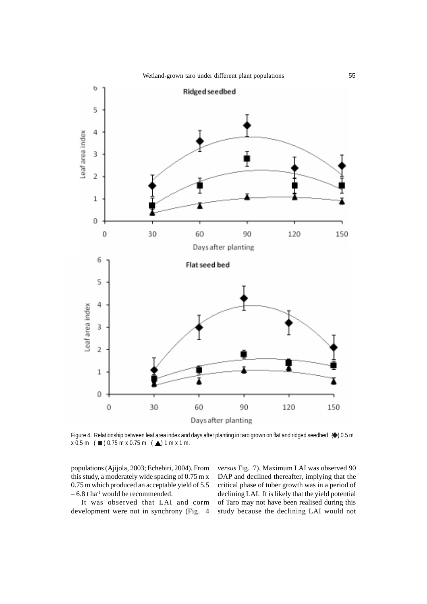

Figure 4. Relationship between leaf area index and days after planting in taro grown on flat and ridged seedbed  $\,$   $\,$   $\,$   $\,$  0.5 m  $x 0.5 m$  ( $\blacksquare$ ) 0.75 m x 0.75 m ( $\blacktriangle$ ) 1 m x 1 m.

populations (Ajijola, 2003; Echebiri, 2004). From this study, a moderately wide spacing of 0.75 m x 0.75 m which produced an acceptable yield of 5.5  $-6.8$  t ha<sup>-1</sup> would be recommended.

It was observed that LAI and corm development were not in synchrony (Fig. 4 *versus* Fig. 7). Maximum LAI was observed 90 DAP and declined thereafter, implying that the critical phase of tuber growth was in a period of declining LAI. It is likely that the yield potential of Taro may not have been realised during this study because the declining LAI would not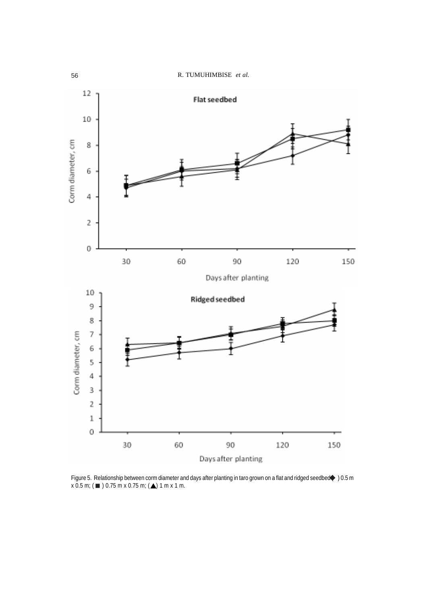

Figure 5. Relationship between corm diameter and days after planting in taro grown on a flat and ridged seedbed $\blacklozenge 0.5$  m  $x$  0.5 m; (  $\blacksquare$  ) 0.75 m x 0.75 m; (  $\blacktriangle$ ) 1 m x 1 m. ♦ ■ ) 0.75 m x 0.75 m;  $($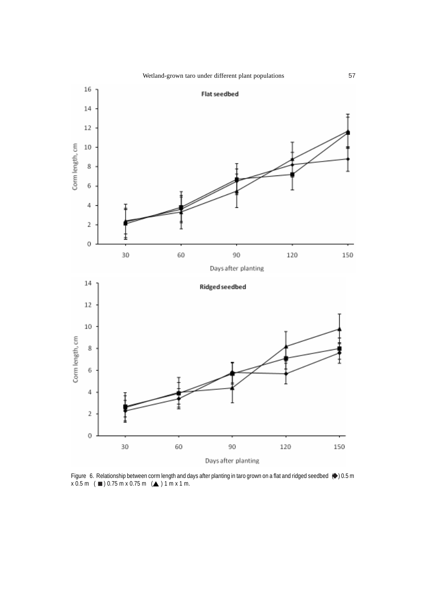

Figure 6. Relationship between corm length and days after planting in taro grown on a flat and ridged seedbed  $\bigcirc$  0.5 m  $x 0.5 m$  (  $\blacksquare$  ) 0.75 m x 0.75 m ( $\blacktriangle$  ) 1 m x 1 m.  $\bullet$  $\Box$ ) 0.75 m x 0.75 m ( $\triangle$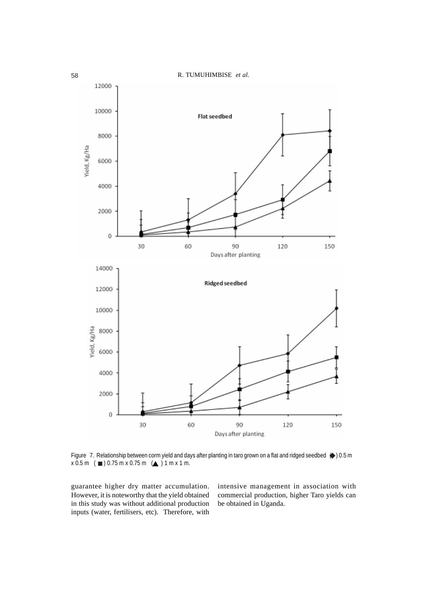

Figure 7. Relationship between corm yield and days after planting in taro grown on a flat and ridged seedbed  $\textcolor{blue}\blacklozenge$  0.5 m  $x 0.5 m$  ( $\blacksquare$ ) 0.75 m x 0.75 m ( $\blacktriangle$  ) 1 m x 1 m.

guarantee higher dry matter accumulation. However, it is noteworthy that the yield obtained in this study was without additional production inputs (water, fertilisers, etc). Therefore, with

intensive management in association with commercial production, higher Taro yields can be obtained in Uganda.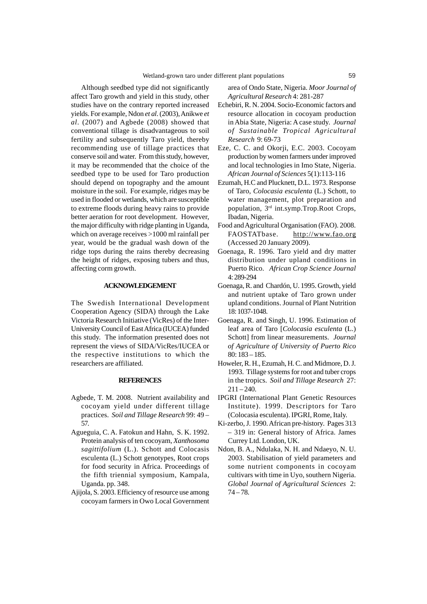Although seedbed type did not significantly affect Taro growth and yield in this study, other studies have on the contrary reported increased yields. For example, Ndon *et al*. (2003), Anikwe *et al*. (2007) and Agbede (2008) showed that conventional tillage is disadvantageous to soil fertility and subsequently Taro yield, thereby recommending use of tillage practices that conserve soil and water. From this study, however, it may be recommended that the choice of the seedbed type to be used for Taro production should depend on topography and the amount moisture in the soil. For example, ridges may be used in flooded or wetlands, which are susceptible to extreme floods during heavy rains to provide better aeration for root development. However, the major difficulty with ridge planting in Uganda, which on average receives >1000 ml rainfall per year, would be the gradual wash down of the ridge tops during the rains thereby decreasing the height of ridges, exposing tubers and thus, affecting corm growth.

# **ACKNOWLEDGEMENT**

The Swedish International Development Cooperation Agency (SIDA) through the Lake Victoria Research Initiative (VicRes) of the Inter-University Council of East Africa (IUCEA) funded this study. The information presented does not represent the views of SIDA/VicRes/IUCEA or the respective institutions to which the researchers are affiliated.

### **REFERENCES**

- Agbede, T. M. 2008. Nutrient availability and cocoyam yield under different tillage practices. *Soil and Tillage Research* 99: 49 – 57.
- Agueguia, C. A. Fatokun and Hahn, S. K. 1992. Protein analysis of ten cocoyam, *Xanthosoma sagittifolium* (L.). Schott and Colocasis esculenta (L.) Schott genotypes, Root crops for food security in Africa. Proceedings of the fifth triennial symposium, Kampala, Uganda. pp. 348.
- Ajijola, S. 2003. Efficiency of resource use among cocoyam farmers in Owo Local Government

area of Ondo State, Nigeria. *Moor Journal of Agricultural Research* 4: 281-287

- Echebiri, R. N. 2004. Socio-Economic factors and resource allocation in cocoyam production in Abia State, Nigeria: A case study. *Journal of Sustainable Tropical Agricultural Research* 9: 69-73
- Eze, C. C. and Okorji, E.C. 2003. Cocoyam production by women farmers under improved and local technologies in Imo State, Nigeria. *African Journal of Sciences* 5(1):113-116
- Ezumah, H.C and Plucknett, D.L. 1973. Response of Taro, *Colocasia esculenta* (L.) Schott, to water management, plot preparation and population, 3rd int.symp.Trop.Root Crops, Ibadan, Nigeria.
- Food and Agricultural Organisation (FAO). 2008. FAOSTATbase. http://www.fao.org (Accessed 20 January 2009).
- Goenaga, R. 1996. Taro yield and dry matter distribution under upland conditions in Puerto Rico. *African Crop Science Journal* 4: 289-294
- Goenaga, R. and Chardón, U. 1995. Growth, yield and nutrient uptake of Taro grown under upland conditions. Journal of Plant Nutrition 18: 1037-1048.
- Goenaga, R. and Singh, U. 1996. Estimation of leaf area of Taro [*Colocasia esculenta* (L.) Schott] from linear measurements. *Journal of Agriculture of University of Puerto Rico* 80: 183 – 185.
- Howeler, R. H., Ezumah, H. C. and Midmore, D. J. 1993. Tillage systems for root and tuber crops in the tropics. *Soil and Tillage Research* 27:  $211 - 240.$
- IPGRI (International Plant Genetic Resources Institute). 1999. Descriptors for Taro (Colocasia esculenta). IPGRI, Rome, Italy.
- Ki-zerbo, J. 1990. African pre-history. Pages 313 – 319 in: General history of Africa. James Currey Ltd. London, UK.
- Ndon, B. A., Ndulaka, N. H. and Ndaeyo, N. U. 2003. Stabilisation of yield parameters and some nutrient components in cocoyam cultivars with time in Uyo, southern Nigeria. *Global Journal of Agricultural Sciences* 2:  $74 - 78.$